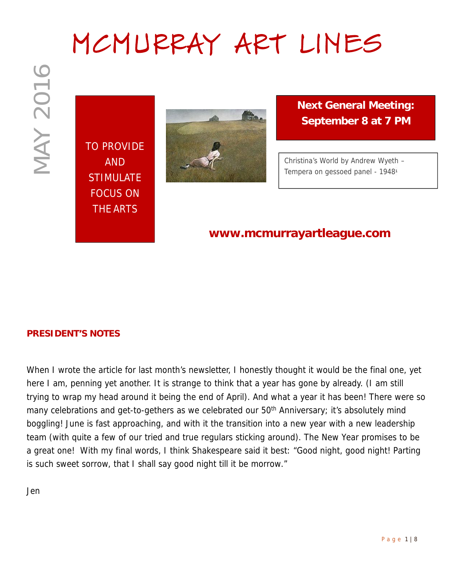# **MCMURRAY ART LINES**

TO PROVIDE AND **STIMULATE** FOCUS ON THE ARTS



**Next General Meeting: September 8 at 7 PM**

*Christina's World by Andrew Wyeth – Tempera on gessoed panel - 1948*<sup>1</sup>

### **www.mcmurrayartleague.com**

#### **PRESIDENT'S NOTES**

**P a g example of the set of the set of the set of the set of the set of the set of the set of the set of the set of the set of the set of the set of the set of the set of the set of the set of the set of the set of the se** When I wrote the article for last month's newsletter, I honestly thought it would be the final one, yet here I am, penning yet another. It is strange to think that a year has gone by already. (I am still trying to wrap my head around it being the end of April). And what a year it has been! There were so many celebrations and get-to-gethers as we celebrated our 50<sup>th</sup> Anniversary; it's absolutely mind boggling! June is fast approaching, and with it the transition into a new year with a new leadership team (with quite a few of our tried and true regulars sticking around). The New Year promises to be a great one! With my final words, I think Shakespeare said it best: "*Good night, good night! Parting is such sweet sorrow, that I shall say good night till it be morrow.*"

Jen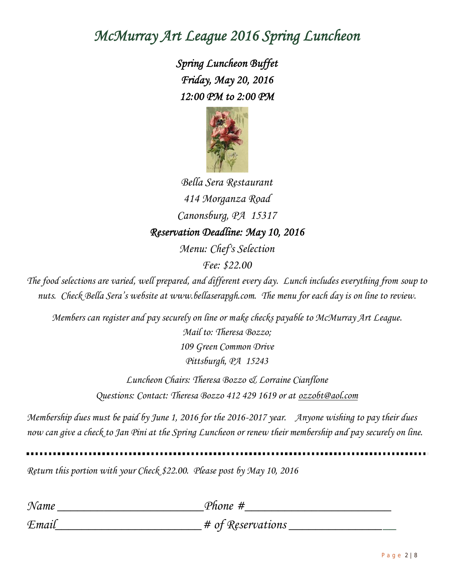## *McMurray Art League 2016 Spring Luncheon*

*Spring Luncheon Buffet Friday, May 20, 2016 12:00 PM to 2:00 PM*



*Bella Sera Restaurant 414 Morganza Road Canonsburg, PA 15317 Reservation Deadline: May 10, 2016 Menu: Chef's Selection*

*Fee: \$22.00*

*The food selections are varied, well prepared, and different every day. Lunch includes everything from soup to nuts. Check Bella Sera's website at www.bellaserapgh.com. The menu for each day is on line to review.*

*Members can register and pay securely on line or make checks payable to McMurray Art League. Mail to: Theresa Bozzo; 109 Green Common Drive Pittsburgh, PA 15243*

> *Luncheon Chairs: Theresa Bozzo & Lorraine Cianflone Questions: Contact: Theresa Bozzo 412 429 1619 or at ozzobt@aol.com*

*Membership dues must be paid by June 1, 2016 for the 2016-2017 year. Anyone wishing to pay their dues now can give a check to Jan Pini at the Spring Luncheon or renew their membership and pay securely on line.*

*Return this portion with your Check \$22.00. Please post by May 10, 2016*

| Name  | Phone #             |
|-------|---------------------|
| Email | $#$ of Reservations |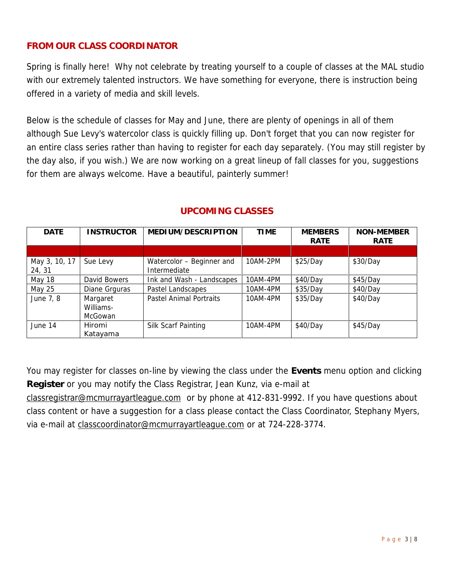#### **FROM OUR CLASS COORDINATOR**

Spring is finally here! Why not celebrate by treating yourself to a couple of classes at the MAL studio with our extremely talented instructors. We have something for everyone, there is instruction being offered in a variety of media and skill levels.

Below is the schedule of classes for May and June, there are plenty of openings in all of them although Sue Levy's watercolor class is quickly filling up. Don't forget that you can now register for an entire class series rather than having to register for each day separately. (You may still register by the day also, if you wish.) We are now working on a great lineup of fall classes for you, suggestions for them are always welcome. Have a beautiful, painterly summer!

| DATE                    | <b>INSTRUCTOR</b>                | MEDIUM/DESCRIPTION                        | <b>TIME</b> | <b>MEMBERS</b> | NON-MEMBER |
|-------------------------|----------------------------------|-------------------------------------------|-------------|----------------|------------|
|                         |                                  |                                           |             | RATE           | RATE       |
|                         |                                  |                                           |             |                |            |
| May 3, 10, 17<br>24, 31 | Sue Levy                         | Watercolor - Beginner and<br>Intermediate | 10AM-2PM    | \$25/Day       | \$30/Day   |
| May 18                  | David Bowers                     | Ink and Wash - Landscapes                 | 10AM-4PM    | \$40/Day       | \$45/Day   |
| May 25                  | Diane Grguras                    | Pastel Landscapes                         | 10AM-4PM    | \$35/Day       | \$40/Day   |
| June 7, 8               | Margaret<br>Williams-<br>McGowan | Pastel Animal Portraits                   | 10AM-4PM    | \$35/Day       | \$40/Day   |
| June 14                 | Hiromi<br>Katayama               | Silk Scarf Painting                       | 10AM-4PM    | \$40/Day       | \$45/Day   |

#### **UPCOMING CLASSES**

You may register for classes on-line by viewing the class under the **Events** menu option and clicking **Register** or you may notify the Class Registrar, Jean Kunz, via e-mail at

classregistrar@mcmurrayartleague.com or by phone at 412-831-9992. If you have questions about class content or have a suggestion for a class please contact the Class Coordinator, Stephany Myers, via e-mail at classcoordinator@mcmurrayartleague.com or at 724-228-3774.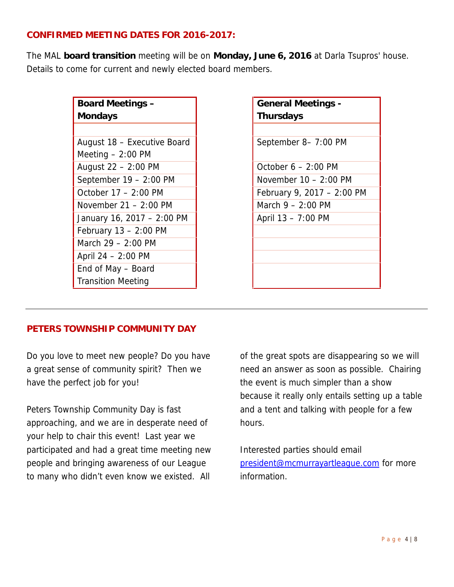#### **CONFIRMED MEETING DATES FOR 2016-2017:**

The MAL **board transition** meeting will be on **Monday, June 6, 2016** at Darla Tsupros' house. Details to come for current and newly elected board members.

| Board Meetings -            |  |
|-----------------------------|--|
| Mondays                     |  |
|                             |  |
| August 18 - Executive Board |  |
| Meeting $-2:00$ PM          |  |
| August 22 - 2:00 PM         |  |
| September $19 - 2:00$ PM    |  |
| October 17 - 2:00 PM        |  |
| November $21 - 2:00$ PM     |  |
| January 16, 2017 - 2:00 PM  |  |
| February $13 - 2:00$ PM     |  |
| March 29 - 2:00 PM          |  |
| April $24 - 2:00$ PM        |  |
| End of May – Board          |  |
| <b>Transition Meeting</b>   |  |

**General Meetings - Thursdays** September 8– 7:00 PM October  $6 - 2:00$  PM November  $10 - 2:00$  PM February 9, 2017 – 2:00 PM March  $9 - 2:00$  PM April 13 – 7:00 PM

#### **PETERS TOWNSHIP COMMUNITY DAY**

Do you love to meet new people? Do you have a great sense of community spirit? Then we have the perfect job for you!

Peters Township Community Day is fast approaching, and we are in desperate need of your help to chair this event! Last year we participated and had a great time meeting new people and bringing awareness of our League to many who didn't even know we existed. All

of the great spots are disappearing so we will need an answer as soon as possible. Chairing the event is much simpler than a show because it really only entails setting up a table and a tent and talking with people for a few hours.

Interested parties should email president@mcmurrayartleague.com for more information.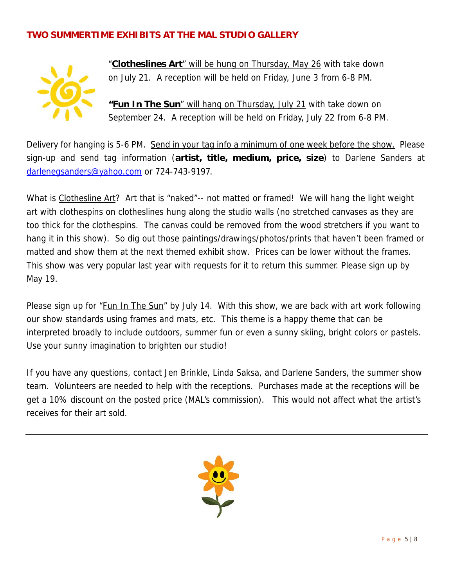#### **TWO SUMMERTIME EXHIBITS AT THE MAL STUDIO GALLERY**



"**Clotheslines Art**" will be hung on Thursday, May 26 with take down on July 21. A reception will be held on Friday, June 3 from 6-8 PM.

**"Fun In The Sun**" will hang on Thursday, July 21 with take down on September 24. A reception will be held on Friday, July 22 from 6-8 PM.

Delivery for hanging is 5-6 PM. Send in your tag info a minimum of one week before the show. Please sign-up and send tag information (**artist, title, medium, price, size**) to Darlene Sanders at darlenegsanders@yahoo.com or 724-743-9197.

What is Clothesline Art? Art that is "naked"-- not matted or framed! We will hang the light weight art with clothespins on clotheslines hung along the studio walls (no stretched canvases as they are too thick for the clothespins. The canvas could be removed from the wood stretchers if you want to hang it in this show). So dig out those paintings/drawings/photos/prints that haven't been framed or matted and show them at the next themed exhibit show. Prices can be lower without the frames. This show was very popular last year with requests for it to return this summer. Please sign up by May 19.

Please sign up for "Fun In The Sun" by July 14. With this show, we are back with art work following our show standards using frames and mats, etc. This theme is a happy theme that can be interpreted broadly to include outdoors, summer fun or even a sunny skiing, bright colors or pastels. Use your sunny imagination to brighten our studio!

If you have any questions, contact Jen Brinkle, Linda Saksa, and Darlene Sanders, the summer show team. Volunteers are needed to help with the receptions. Purchases made at the receptions will be get a 10% discount on the posted price (MAL's commission). This would not affect what the artist's receives for their art sold.

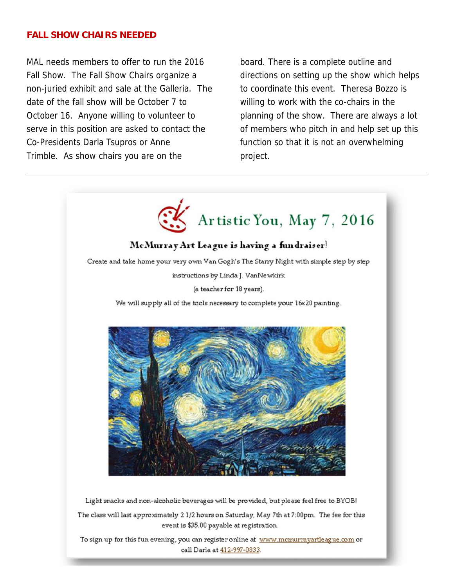#### **FALL SHOW CHAIRS NEEDED**

MAL needs members to offer to run the 2016 Fall Show. The Fall Show Chairs organize a non-juried exhibit and sale at the Galleria. The date of the fall show will be October 7 to October 16. Anyone willing to volunteer to serve in this position are asked to contact the Co-Presidents Darla Tsupros or Anne Trimble. As show chairs you are on the

board. There is a complete outline and directions on setting up the show which helps to coordinate this event. Theresa Bozzo is willing to work with the co-chairs in the planning of the show. There are always a lot of members who pitch in and help set up this function so that it is not an overwhelming project.

 $\mathbb{R}^n$ 



Light snacks and non-alcoholic beverages will be provided, but please feel free to BYOB! The class will last approximately 2 1/2 hours on Saturday, May 7th at 7:00pm. The fee for this event is \$35.00 payable at registration.

To sign up for this fun evening, you can register online at www.mcmurrayartleague.com or call Darla at 412-997-0833.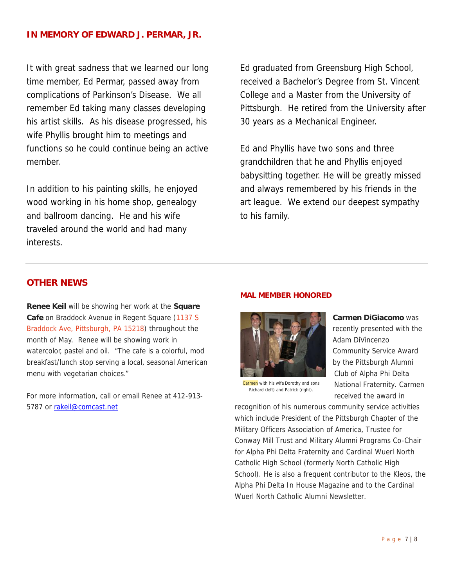#### **IN MEMORY OF EDWARD J. PERMAR, JR.**

It with great sadness that we learned our long time member, Ed Permar, passed away from complications of Parkinson's Disease. We all remember Ed taking many classes developing his artist skills. As his disease progressed, his wife Phyllis brought him to meetings and functions so he could continue being an active member.

In addition to his painting skills, he enjoyed wood working in his home shop, genealogy and ballroom dancing. He and his wife traveled around the world and had many interests.

Ed graduated from Greensburg High School, received a Bachelor's Degree from St. Vincent College and a Master from the University of Pittsburgh. He retired from the University after 30 years as a Mechanical Engineer.

Ed and Phyllis have two sons and three grandchildren that he and Phyllis enjoyed babysitting together. He will be greatly missed and always remembered by his friends in the art league. We extend our deepest sympathy to his family.

#### **OTHER NEWS**

**Renee Keil** will be showing her work at the **Square Cafe** on Braddock Avenue in Regent Square (*1137 S Braddock Ave, Pittsburgh, PA 15218)* throughout the month of May. Renee will be showing work in watercolor, pastel and oil. "The cafe is a colorful, mod breakfast/lunch stop serving a local, seasonal American menu with vegetarian choices."

For more information, call or email Renee at 412-913- 5787 or rakeil@comcast.net

#### **MAL MEMBER HONORED**



**Carmen DiGiacomo** was recently presented with the Adam DiVincenzo Community Service Award by the Pittsburgh Alumni Club of Alpha Phi Delta National Fraternity. Carmen received the award in

Carmen with his wife Dorothy and sons Richard (left) and Patrick (right).

recognition of his numerous community service activities which include President of the Pittsburgh Chapter of the Military Officers Association of America, Trustee for Conway Mill Trust and Military Alumni Programs Co-Chair for Alpha Phi Delta Fraternity and Cardinal Wuerl North Catholic High School (formerly North Catholic High School). He is also a frequent contributor to the *Kleos*, the Alpha Phi Delta In House Magazine and to the Cardinal Wuerl North Catholic Alumni Newsletter.